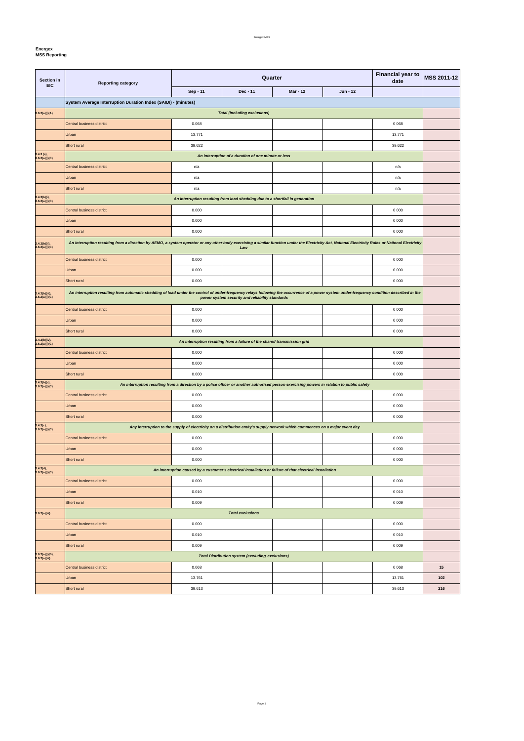**Energex**

| Section in<br><b>EIC</b>           | <b>Reporting category</b>                                                                                                                                                                           |                                                                                                                              | <b>Financial year to</b><br>date                                         | <b>MSS 2011-12</b> |          |         |     |  |
|------------------------------------|-----------------------------------------------------------------------------------------------------------------------------------------------------------------------------------------------------|------------------------------------------------------------------------------------------------------------------------------|--------------------------------------------------------------------------|--------------------|----------|---------|-----|--|
|                                    |                                                                                                                                                                                                     | Sep - 11                                                                                                                     | Dec - 11                                                                 | Mar - 12           | Jun - 12 |         |     |  |
|                                    | System Average Interruption Duration Index (SAIDI) - (minutes)                                                                                                                                      |                                                                                                                              |                                                                          |                    |          |         |     |  |
| 2.6.2(a)(i)(A)                     |                                                                                                                                                                                                     |                                                                                                                              | <b>Total (including exclusions)</b>                                      |                    |          |         |     |  |
|                                    | Central business district                                                                                                                                                                           | 0.068                                                                                                                        |                                                                          |                    |          | 0 0 68  |     |  |
|                                    | Urban                                                                                                                                                                                               | 13.771                                                                                                                       |                                                                          |                    |          | 13.771  |     |  |
|                                    | Short rural                                                                                                                                                                                         | 39.622                                                                                                                       |                                                                          |                    |          | 39.622  |     |  |
| $2.4.3$ (a),<br>2.6.2(a)(i)(C)     |                                                                                                                                                                                                     |                                                                                                                              | An interruption of a duration of one minute or less                      |                    |          |         |     |  |
|                                    | Central business district                                                                                                                                                                           | n/a                                                                                                                          |                                                                          |                    |          | n/a     |     |  |
|                                    | Urban                                                                                                                                                                                               | n/a                                                                                                                          |                                                                          |                    |          | n/a     |     |  |
|                                    | Short rural                                                                                                                                                                                         | n/a                                                                                                                          |                                                                          |                    |          | n/a     |     |  |
| $2.4.3(b)(i),$<br>2.6.2(a)(i)(C)   | An interruption resulting from load shedding due to a shortfall in generation                                                                                                                       |                                                                                                                              |                                                                          |                    |          |         |     |  |
|                                    | Central business district                                                                                                                                                                           | 0.000                                                                                                                        |                                                                          |                    |          | 0 0 0 0 |     |  |
|                                    | Urban                                                                                                                                                                                               | 0.000                                                                                                                        |                                                                          |                    |          | 0 0 0 0 |     |  |
|                                    | Short rural                                                                                                                                                                                         | 0.000                                                                                                                        |                                                                          |                    |          | 0 0 0 0 |     |  |
| $2.4.3(b)(ii)$ ,<br>2.6.2(a)(i)(C) | An interruption resulting from a direction by AEMO, a system operator or any other body exercising a similar function under the Electricity Act, National Electricity Rules or National Electricity |                                                                                                                              | Law                                                                      |                    |          |         |     |  |
|                                    | Central business district                                                                                                                                                                           | 0.000                                                                                                                        |                                                                          |                    |          | 0 0 0 0 |     |  |
|                                    | Urban                                                                                                                                                                                               | 0.000                                                                                                                        |                                                                          |                    |          | 0 0 0 0 |     |  |
|                                    | Short rural                                                                                                                                                                                         | 0.000                                                                                                                        |                                                                          |                    |          | 0 0 0 0 |     |  |
| 2.4.3(b)(iii),<br>2.6.2(a)(i)(C)   | An interruption resulting from automatic shedding of load under the control of under-frequency relays following the occurrence of a power system under-frequency condition described in the         |                                                                                                                              | power system security and reliability standards                          |                    |          |         |     |  |
|                                    | Central business district                                                                                                                                                                           | 0.000                                                                                                                        |                                                                          |                    |          | 0 0 0 0 |     |  |
|                                    | Urban                                                                                                                                                                                               | 0.000                                                                                                                        |                                                                          |                    |          | 0 0 0 0 |     |  |
|                                    | Short rural                                                                                                                                                                                         | 0.000                                                                                                                        |                                                                          |                    |          | 0 0 0 0 |     |  |
| 2.4.3(b)(iv),                      |                                                                                                                                                                                                     |                                                                                                                              | An interruption resulting from a failure of the shared transmission grid |                    |          |         |     |  |
| 2.6.2(a)(i)(C)                     | Central business district                                                                                                                                                                           | 0.000                                                                                                                        |                                                                          |                    |          | 0 0 0 0 |     |  |
|                                    | Urban                                                                                                                                                                                               | 0.000                                                                                                                        |                                                                          |                    |          | 0 0 0 0 |     |  |
|                                    | Short rural                                                                                                                                                                                         | 0.000                                                                                                                        |                                                                          |                    |          | 0 0 0 0 |     |  |
| $2.4.3(b)(v),$<br>2.6.2(a)(i)(C)   | An interruption resulting from a direction by a police officer or another authorised person exercising powers in relation to public safety                                                          |                                                                                                                              |                                                                          |                    |          |         |     |  |
|                                    | <b>Central business district</b>                                                                                                                                                                    | 0.000                                                                                                                        |                                                                          |                    |          | 0 0 0 0 |     |  |
|                                    | Urban                                                                                                                                                                                               | 0.000                                                                                                                        |                                                                          |                    |          | 0 0 0 0 |     |  |
|                                    | Short rural                                                                                                                                                                                         | 0.000                                                                                                                        |                                                                          |                    |          | 0 0 0 0 |     |  |
| 2.4.3(c),<br>2.6.2(a)(i)(C)        |                                                                                                                                                                                                     | Any interruption to the supply of electricity on a distribution entity's supply network which commences on a major event day |                                                                          |                    |          |         |     |  |
|                                    | Central business district                                                                                                                                                                           | 0.000                                                                                                                        |                                                                          |                    |          | 0 0 0 0 |     |  |
|                                    | Urban                                                                                                                                                                                               | 0.000                                                                                                                        |                                                                          |                    |          | 0 0 0 0 |     |  |
|                                    | Short rural                                                                                                                                                                                         | 0.000                                                                                                                        |                                                                          |                    |          | 0 0 0 0 |     |  |
| 2.4.3(d),<br>2.6.2(a)(i)(C)        |                                                                                                                                                                                                     | An interruption caused by a customer's electrical installation or failure of that electrical installation                    |                                                                          |                    |          |         |     |  |
|                                    | <b>Central business district</b>                                                                                                                                                                    | 0.000                                                                                                                        |                                                                          |                    |          | 0 0 0 0 |     |  |
|                                    | Urban                                                                                                                                                                                               | 0.010                                                                                                                        |                                                                          |                    |          | 0 0 1 0 |     |  |
|                                    | Short rural                                                                                                                                                                                         | 0.009                                                                                                                        |                                                                          |                    |          | 0 0 0 9 |     |  |
| 2.6.2(a)(iii)                      |                                                                                                                                                                                                     |                                                                                                                              | <b>Total exclusions</b>                                                  |                    |          |         |     |  |
|                                    | Central business district                                                                                                                                                                           | 0.000                                                                                                                        |                                                                          |                    |          | 0 0 0 0 |     |  |
|                                    | Urban                                                                                                                                                                                               | 0.010                                                                                                                        |                                                                          |                    |          | 0010    |     |  |
|                                    | Short rural                                                                                                                                                                                         | 0.009                                                                                                                        |                                                                          |                    |          | 0 0 0 9 |     |  |
| 2.6.2(a)(i)(B),                    |                                                                                                                                                                                                     |                                                                                                                              | <b>Total Distribution system (excluding exclusions)</b>                  |                    |          |         |     |  |
| 2.6.2(a)(iii)                      | Central business district                                                                                                                                                                           | 0.068                                                                                                                        |                                                                          |                    |          | 0 0 68  | 15  |  |
|                                    | Urban                                                                                                                                                                                               | 13.761                                                                                                                       |                                                                          |                    |          | 13.761  | 102 |  |
|                                    | Short rural                                                                                                                                                                                         | 39.613                                                                                                                       |                                                                          |                    |          | 39.613  | 216 |  |
|                                    |                                                                                                                                                                                                     |                                                                                                                              |                                                                          |                    |          |         |     |  |

Page 1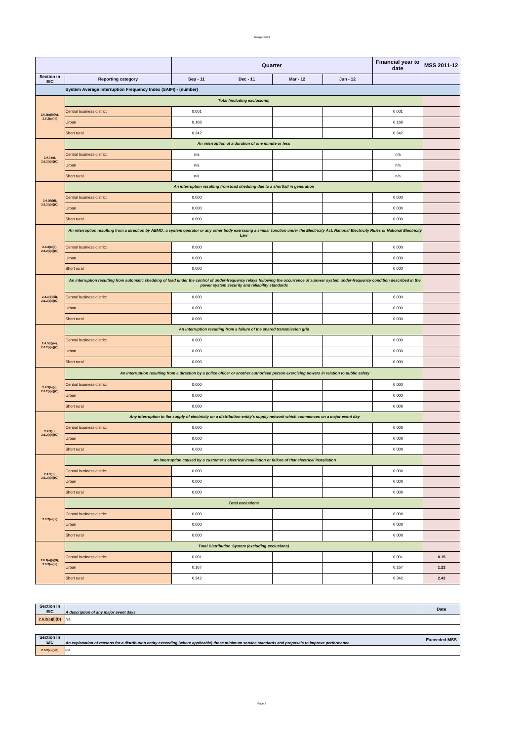|                                  | Short rural | 0.342 |  | 0342  | 2.42 |
|----------------------------------|-------------|-------|--|-------|------|
| 2.6.2(a)(i)(B),<br>2.6.2(a)(iii) | Urban       | 0.167 |  | 0.167 | 1.22 |
|                                  |             |       |  |       |      |

|                                     |                                                                                                                                                                                                                                                | <b>Financial year to</b><br>Quarter<br>date |                                                                                                                                            |                 | MSS 2011-12 |         |      |
|-------------------------------------|------------------------------------------------------------------------------------------------------------------------------------------------------------------------------------------------------------------------------------------------|---------------------------------------------|--------------------------------------------------------------------------------------------------------------------------------------------|-----------------|-------------|---------|------|
| Section in<br><b>EIC</b>            | <b>Reporting category</b>                                                                                                                                                                                                                      | Sep - 11                                    | Dec - 11                                                                                                                                   | <b>Mar - 12</b> | Jun - 12    |         |      |
|                                     | System Average Interruption Frequency Index (SAIFI) - (number)                                                                                                                                                                                 |                                             |                                                                                                                                            |                 |             |         |      |
|                                     | <b>Total (including exclusions)</b>                                                                                                                                                                                                            |                                             |                                                                                                                                            |                 |             |         |      |
| 2.6.2(a)(i)(A),                     | Central business district                                                                                                                                                                                                                      | 0.001                                       |                                                                                                                                            |                 |             | 0 0 0 1 |      |
| 2.6.2(a)(iii)                       | Urban                                                                                                                                                                                                                                          | 0.168                                       |                                                                                                                                            |                 |             | 0.168   |      |
|                                     | <b>Short rural</b>                                                                                                                                                                                                                             | 0.342                                       |                                                                                                                                            |                 |             | 0 3 4 2 |      |
|                                     | An interruption of a duration of one minute or less                                                                                                                                                                                            |                                             |                                                                                                                                            |                 |             |         |      |
| $2.4.3$ (a),                        | Central business district                                                                                                                                                                                                                      | n/a                                         |                                                                                                                                            |                 |             | n/a     |      |
| 2.6.2(a)(i)(C)                      | Urban                                                                                                                                                                                                                                          | n/a                                         |                                                                                                                                            |                 |             | n/a     |      |
|                                     | Short rural                                                                                                                                                                                                                                    | n/a                                         |                                                                                                                                            |                 |             | n/a     |      |
|                                     |                                                                                                                                                                                                                                                |                                             | An interruption resulting from load shedding due to a shortfall in generation                                                              |                 |             |         |      |
| $2.4.3(b)(i)$ ,                     | Central business district                                                                                                                                                                                                                      | 0.000                                       |                                                                                                                                            |                 |             | 0 0 0 0 |      |
| 2.6.2(a)(i)(C)                      | Urban                                                                                                                                                                                                                                          | 0.000                                       |                                                                                                                                            |                 |             | 0 0 0 0 |      |
|                                     | Short rural                                                                                                                                                                                                                                    | 0.000                                       |                                                                                                                                            |                 |             | 0 0 0 0 |      |
|                                     | An interruption resulting from a direction by AEMO, a system operator or any other body exercising a similar function under the Electricity Act, National Electricity Rules or National Electricity                                            |                                             | Law                                                                                                                                        |                 |             |         |      |
|                                     |                                                                                                                                                                                                                                                |                                             |                                                                                                                                            |                 |             |         |      |
| $2.4.3(b)(ii)$ ,<br>2.6.2(a)(i)(C)  | Central business district                                                                                                                                                                                                                      | 0.000                                       |                                                                                                                                            |                 |             | 0 0 0 0 |      |
|                                     | Urban                                                                                                                                                                                                                                          | 0.000                                       |                                                                                                                                            |                 |             | 0 0 0 0 |      |
|                                     | Short rural                                                                                                                                                                                                                                    | 0.000                                       |                                                                                                                                            |                 |             | 0 0 0 0 |      |
|                                     | An interruption resulting from automatic shedding of load under the control of under-frequency relays following the occurrence of a power system under-frequency condition described in the<br>power system security and reliability standards |                                             |                                                                                                                                            |                 |             |         |      |
| $2.4.3(b)(iii)$ ,<br>2.6.2(a)(i)(C) | Central business district                                                                                                                                                                                                                      | 0.000                                       |                                                                                                                                            |                 |             | 0 0 0 0 |      |
|                                     | Urban                                                                                                                                                                                                                                          | 0.000                                       |                                                                                                                                            |                 |             | 0 0 0 0 |      |
|                                     | Short rural                                                                                                                                                                                                                                    | 0.000                                       |                                                                                                                                            |                 |             | 0 0 0 0 |      |
|                                     | An interruption resulting from a failure of the shared transmission grid                                                                                                                                                                       |                                             |                                                                                                                                            |                 |             |         |      |
| 2.4.3(b)(iv),                       | Central business district                                                                                                                                                                                                                      | 0.000                                       |                                                                                                                                            |                 |             | 0 0 0 0 |      |
| 2.6.2(a)(i)(C)                      | Urban                                                                                                                                                                                                                                          | 0.000                                       |                                                                                                                                            |                 |             | 0 0 0 0 |      |
|                                     | Short rural                                                                                                                                                                                                                                    | 0.000                                       |                                                                                                                                            |                 |             | 0 0 0 0 |      |
|                                     |                                                                                                                                                                                                                                                |                                             | An interruption resulting from a direction by a police officer or another authorised person exercising powers in relation to public safety |                 |             |         |      |
| 2.4.3(b)(v),                        | Central business district                                                                                                                                                                                                                      | 0.000                                       |                                                                                                                                            |                 |             | 0 0 0 0 |      |
| 2.6.2(a)(i)(C)                      | Urban                                                                                                                                                                                                                                          | 0.000                                       |                                                                                                                                            |                 |             | 0 0 0 0 |      |
|                                     | Short rural                                                                                                                                                                                                                                    | 0.000                                       |                                                                                                                                            |                 |             | 0 0 0 0 |      |
|                                     |                                                                                                                                                                                                                                                |                                             | Any interruption to the supply of electricity on a distribution entity's supply network which commences on a major event day               |                 |             |         |      |
|                                     | Central business district                                                                                                                                                                                                                      | 0.000                                       |                                                                                                                                            |                 |             | 0 0 0 0 |      |
| $2.4.3(c)$ ,<br>2.6.2(a)(i)(C)      | Urban                                                                                                                                                                                                                                          | 0.000                                       |                                                                                                                                            |                 |             | 0 0 0 0 |      |
|                                     | Short rural                                                                                                                                                                                                                                    | 0.000                                       |                                                                                                                                            |                 |             | 0 0 0 0 |      |
|                                     | An interruption caused by a customer's electrical installation or failure of that electrical installation                                                                                                                                      |                                             |                                                                                                                                            |                 |             |         |      |
| 2.4.3(d),                           | Central business district                                                                                                                                                                                                                      | 0.000                                       |                                                                                                                                            |                 |             | 0 0 0 0 |      |
| 2.6.2(a)(i)(C)                      | Urban                                                                                                                                                                                                                                          | 0.000                                       |                                                                                                                                            |                 |             | 0 0 0 0 |      |
|                                     | Short rural                                                                                                                                                                                                                                    | 0.000                                       |                                                                                                                                            |                 |             | 0 0 0 0 |      |
|                                     | <b>Total exclusions</b>                                                                                                                                                                                                                        |                                             |                                                                                                                                            |                 |             |         |      |
|                                     | Central business district                                                                                                                                                                                                                      | 0.000                                       |                                                                                                                                            |                 |             | 0 0 0 0 |      |
| 2.6.2(a)(iii)                       | Urban                                                                                                                                                                                                                                          | 0.000                                       |                                                                                                                                            |                 |             | 0 0 0 0 |      |
|                                     | Short rural                                                                                                                                                                                                                                    | 0.000                                       |                                                                                                                                            |                 |             | 0 0 0 0 |      |
|                                     | <b>Total Distribution System (excluding exclusions)</b>                                                                                                                                                                                        |                                             |                                                                                                                                            |                 |             |         |      |
|                                     | Central business district                                                                                                                                                                                                                      | 0.001                                       |                                                                                                                                            |                 |             | 0 0 0 1 | 0.15 |

| <b>Section in</b> |                                       |      |
|-------------------|---------------------------------------|------|
| <b>EIC</b>        | A description of any major event days | Date |
| 2.6.2(a)(i)(D)    | Nil.                                  |      |

| <b>Section in</b><br><b>EIC</b> | An explanation of reasons for a distribution entity exceeding (where applicable) those minimum service standards and proposals to improve performance | <b>Exceeded MSS</b> |
|---------------------------------|-------------------------------------------------------------------------------------------------------------------------------------------------------|---------------------|
| 2.6.2(a)(i)(E)                  | IN/A                                                                                                                                                  |                     |

Page 2